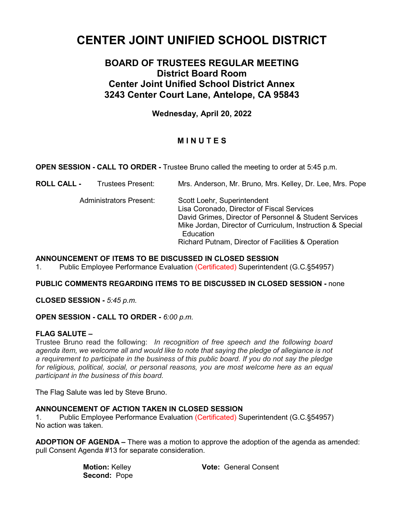# **CENTER JOINT UNIFIED SCHOOL DISTRICT**

## **BOARD OF TRUSTEES REGULAR MEETING District Board Room Center Joint Unified School District Annex 3243 Center Court Lane, Antelope, CA 95843**

**Wednesday, April 20, 2022**

### **M I N U T E S**

**OPEN SESSION - CALL TO ORDER -** Trustee Bruno called the meeting to order at 5:45 p.m.

| <b>ROLL CALL -</b> | <b>Trustees Present:</b>       | Mrs. Anderson, Mr. Bruno, Mrs. Kelley, Dr. Lee, Mrs. Pope                                                                                                                                         |
|--------------------|--------------------------------|---------------------------------------------------------------------------------------------------------------------------------------------------------------------------------------------------|
|                    | <b>Administrators Present:</b> | Scott Loehr, Superintendent<br>Lisa Coronado, Director of Fiscal Services<br>David Grimes, Director of Personnel & Student Services<br>Mike Jordan, Director of Curriculum, Instruction & Special |
|                    |                                | Education<br>Richard Putnam, Director of Facilities & Operation                                                                                                                                   |
|                    |                                |                                                                                                                                                                                                   |

#### **ANNOUNCEMENT OF ITEMS TO BE DISCUSSED IN CLOSED SESSION**

1. Public Employee Performance Evaluation (Certificated) Superintendent (G.C.§54957)

#### **PUBLIC COMMENTS REGARDING ITEMS TO BE DISCUSSED IN CLOSED SESSION -** none

**CLOSED SESSION -** *5:45 p.m.*

**OPEN SESSION - CALL TO ORDER -** *6:00 p.m.*

#### **FLAG SALUTE –**

Trustee Bruno read the following: *In recognition of free speech and the following board agenda item, we welcome all and would like to note that saying the pledge of allegiance is not a requirement to participate in the business of this public board. If you do not say the pledge for religious, political, social, or personal reasons, you are most welcome here as an equal participant in the business of this board.*

The Flag Salute was led by Steve Bruno.

#### **ANNOUNCEMENT OF ACTION TAKEN IN CLOSED SESSION**

1. Public Employee Performance Evaluation (Certificated) Superintendent (G.C.§54957) No action was taken.

**ADOPTION OF AGENDA –** There was a motion to approve the adoption of the agenda as amended: pull Consent Agenda #13 for separate consideration.

| <b>Motion: Kelley</b> | <b>Vote: General Consent</b> |
|-----------------------|------------------------------|
| <b>Second: Pope</b>   |                              |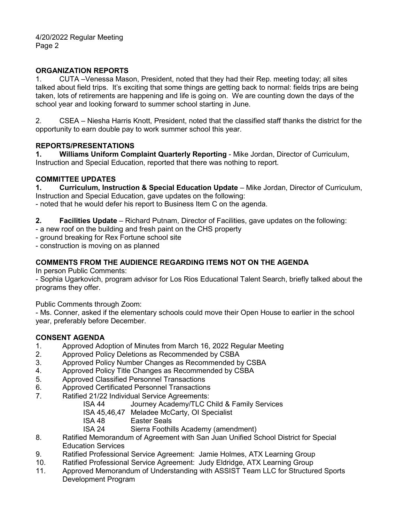#### **ORGANIZATION REPORTS**

1. CUTA –Venessa Mason, President, noted that they had their Rep. meeting today; all sites talked about field trips. It's exciting that some things are getting back to normal: fields trips are being taken, lots of retirements are happening and life is going on. We are counting down the days of the school year and looking forward to summer school starting in June.

2. CSEA – Niesha Harris Knott, President, noted that the classified staff thanks the district for the opportunity to earn double pay to work summer school this year.

#### **REPORTS/PRESENTATIONS**

**1. Williams Uniform Complaint Quarterly Reporting** - Mike Jordan, Director of Curriculum, Instruction and Special Education, reported that there was nothing to report.

#### **COMMITTEE UPDATES**

**1. Curriculum, Instruction & Special Education Update** – Mike Jordan, Director of Curriculum, Instruction and Special Education, gave updates on the following:

- noted that he would defer his report to Business Item C on the agenda.

**2. Facilities Update** – Richard Putnam, Director of Facilities, gave updates on the following:

- a new roof on the building and fresh paint on the CHS property

- ground breaking for Rex Fortune school site

- construction is moving on as planned

#### **COMMENTS FROM THE AUDIENCE REGARDING ITEMS NOT ON THE AGENDA**

In person Public Comments:

- Sophia Ugarkovich, program advisor for Los Rios Educational Talent Search, briefly talked about the programs they offer.

Public Comments through Zoom:

- Ms. Conner, asked if the elementary schools could move their Open House to earlier in the school year, preferably before December.

#### **CONSENT AGENDA**

- 1. Approved Adoption of Minutes from March 16, 2022 Regular Meeting
- 2. Approved Policy Deletions as Recommended by CSBA
- 3. Approved Policy Number Changes as Recommended by CSBA
- 4. Approved Policy Title Changes as Recommended by CSBA
- 5. Approved Classified Personnel Transactions
- 6. Approved Certificated Personnel Transactions<br>7. Ratified 21/22 Individual Service Agreements:
- Ratified 21/22 Individual Service Agreements:
	- ISA 44 Journey Academy/TLC Child & Family Services
	- ISA 45,46,47 Meladee McCarty, OI Specialist
	- **ISA 48** Easter Seals<br> **ISA 24** Sierra Foothil
		- Sierra Foothills Academy (amendment)
- 8. Ratified Memorandum of Agreement with San Juan Unified School District for Special Education Services
- 9. Ratified Professional Service Agreement: Jamie Holmes, ATX Learning Group
- 10. Ratified Professional Service Agreement: Judy Eldridge, ATX Learning Group
- 11. Approved Memorandum of Understanding with ASSIST Team LLC for Structured Sports Development Program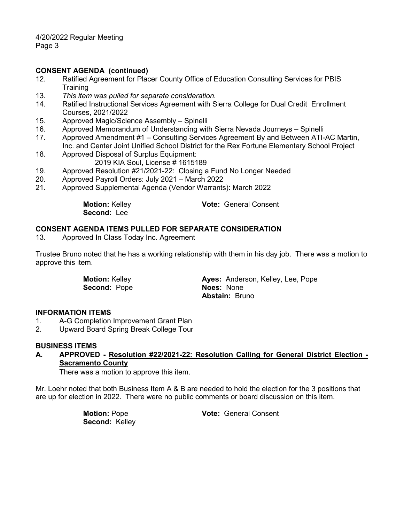4/20/2022 Regular Meeting Page 3

#### **CONSENT AGENDA (continued)**

- 12. Ratified Agreement for Placer County Office of Education Consulting Services for PBIS **Training**
- 13. *This item was pulled for separate consideration.*
- 14. Ratified Instructional Services Agreement with Sierra College for Dual Credit Enrollment Courses, 2021/2022
- 15. Approved Magic/Science Assembly Spinelli
- 16. Approved Memorandum of Understanding with Sierra Nevada Journeys Spinelli
- 17. Approved Amendment #1 Consulting Services Agreement By and Between ATI-AC Martin, Inc. and Center Joint Unified School District for the Rex Fortune Elementary School Project
- 18. Approved Disposal of Surplus Equipment: 2019 KIA Soul, License # 1615189
- 19. Approved Resolution #21/2021-22: Closing a Fund No Longer Needed
- 20. Approved Payroll Orders: July 2021 March 2022
- 21. Approved Supplemental Agenda (Vendor Warrants): March 2022

**Second:** Lee

**Motion:** Kelley **Vote:** General Consent

#### **CONSENT AGENDA ITEMS PULLED FOR SEPARATE CONSIDERATION**

13. Approved In Class Today Inc. Agreement

Trustee Bruno noted that he has a working relationship with them in his day job. There was a motion to approve this item.

**Second:** Pope **Noes:** None

**Motion:** Kelley **Ayes:** Anderson, Kelley, Lee, Pope **Abstain:** Bruno

#### **INFORMATION ITEMS**

- 1. A-G Completion Improvement Grant Plan
- 2. Upward Board Spring Break College Tour

#### **BUSINESS ITEMS**

**A. APPROVED - Resolution #22/2021-22: Resolution Calling for General District Election - Sacramento County**

There was a motion to approve this item.

Mr. Loehr noted that both Business Item A & B are needed to hold the election for the 3 positions that are up for election in 2022. There were no public comments or board discussion on this item.

**Second:** Kelley

**Motion:** Pope **Vote:** General Consent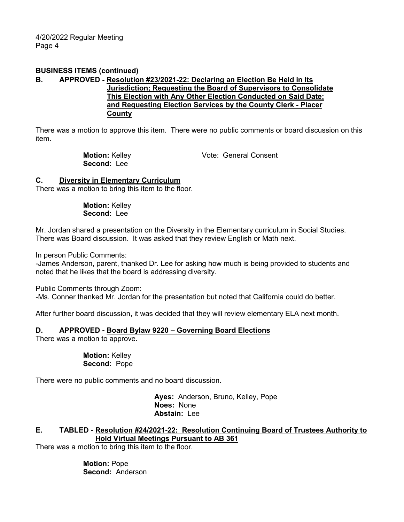#### **BUSINESS ITEMS (continued)**

#### **B. APPROVED - Resolution #23/2021-22: Declaring an Election Be Held in Its Jurisdiction; Requesting the Board of Supervisors to Consolidate This Election with Any Other Election Conducted on Said Date; and Requesting Election Services by the County Clerk - Placer County**

There was a motion to approve this item. There were no public comments or board discussion on this item.

> **Motion:** Kelley **Vote:** General Consent **Second:** Lee

#### **C. Diversity in Elementary Curriculum**

There was a motion to bring this item to the floor.

**Motion:** Kelley **Second:** Lee

Mr. Jordan shared a presentation on the Diversity in the Elementary curriculum in Social Studies. There was Board discussion. It was asked that they review English or Math next.

In person Public Comments:

-James Anderson, parent, thanked Dr. Lee for asking how much is being provided to students and noted that he likes that the board is addressing diversity.

Public Comments through Zoom:

-Ms. Conner thanked Mr. Jordan for the presentation but noted that California could do better.

After further board discussion, it was decided that they will review elementary ELA next month.

#### **D. APPROVED - Board Bylaw 9220 – Governing Board Elections**

There was a motion to approve.

**Motion:** Kelley **Second:** Pope

There were no public comments and no board discussion.

 **Ayes:** Anderson, Bruno, Kelley, Pope **Noes:** None **Abstain:** Lee

#### **E. TABLED - Resolution #24/2021-22: Resolution Continuing Board of Trustees Authority to Hold Virtual Meetings Pursuant to AB 361**

There was a motion to bring this item to the floor.

 **Motion:** Pope **Second:** Anderson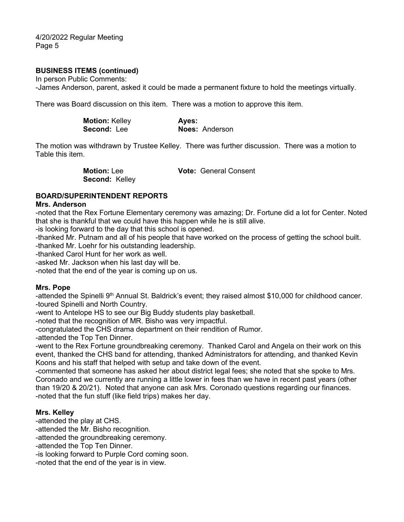4/20/2022 Regular Meeting Page 5

#### **BUSINESS ITEMS (continued)**

In person Public Comments: -James Anderson, parent, asked it could be made a permanent fixture to hold the meetings virtually.

There was Board discussion on this item. There was a motion to approve this item.

| <b>Motion: Kelley</b> | Ayes:                 |
|-----------------------|-----------------------|
| <b>Second: Lee</b>    | <b>Noes: Anderson</b> |

The motion was withdrawn by Trustee Kelley. There was further discussion. There was a motion to Table this item.

> **Motion:** Lee **Vote:** General Consent **Second:** Kelley

#### **BOARD/SUPERINTENDENT REPORTS**

#### **Mrs. Anderson**

-noted that the Rex Fortune Elementary ceremony was amazing; Dr. Fortune did a lot for Center. Noted that she is thankful that we could have this happen while he is still alive.

-is looking forward to the day that this school is opened.

-thanked Mr. Putnam and all of his people that have worked on the process of getting the school built. -thanked Mr. Loehr for his outstanding leadership.

-thanked Carol Hunt for her work as well.

-asked Mr. Jackson when his last day will be.

-noted that the end of the year is coming up on us.

#### **Mrs. Pope**

-attended the Spinelli 9<sup>th</sup> Annual St. Baldrick's event; they raised almost \$10,000 for childhood cancer. -toured Spinelli and North Country.

-went to Antelope HS to see our Big Buddy students play basketball.

-noted that the recognition of MR. Bisho was very impactful.

-congratulated the CHS drama department on their rendition of Rumor.

-attended the Top Ten Dinner.

-went to the Rex Fortune groundbreaking ceremony. Thanked Carol and Angela on their work on this event, thanked the CHS band for attending, thanked Administrators for attending, and thanked Kevin Koons and his staff that helped with setup and take down of the event.

-commented that someone has asked her about district legal fees; she noted that she spoke to Mrs. Coronado and we currently are running a little lower in fees than we have in recent past years (other than 19/20 & 20/21). Noted that anyone can ask Mrs. Coronado questions regarding our finances. -noted that the fun stuff (like field trips) makes her day.

#### **Mrs. Kelley**

-attended the play at CHS.

-attended the Mr. Bisho recognition.

-attended the groundbreaking ceremony.

-attended the Top Ten Dinner.

-is looking forward to Purple Cord coming soon.

-noted that the end of the year is in view.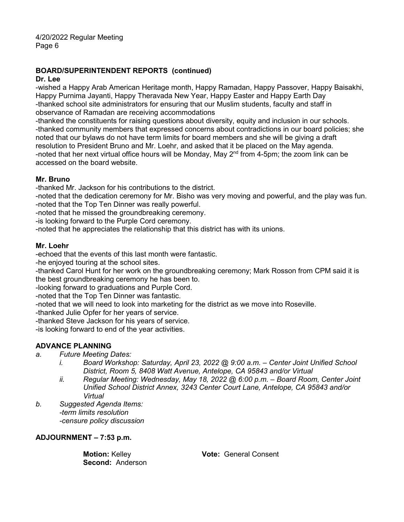## **BOARD/SUPERINTENDENT REPORTS (continued)**

#### **Dr. Lee**

-wished a Happy Arab American Heritage month, Happy Ramadan, Happy Passover, Happy Baisakhi, Happy Purnima Jayanti, Happy Theravada New Year, Happy Easter and Happy Earth Day -thanked school site administrators for ensuring that our Muslim students, faculty and staff in observance of Ramadan are receiving accommodations

-thanked the constituents for raising questions about diversity, equity and inclusion in our schools. -thanked community members that expressed concerns about contradictions in our board policies; she noted that our bylaws do not have term limits for board members and she will be giving a draft resolution to President Bruno and Mr. Loehr, and asked that it be placed on the May agenda. -noted that her next virtual office hours will be Monday, May  $2<sup>nd</sup>$  from 4-5pm; the zoom link can be accessed on the board website.

#### **Mr. Bruno**

-thanked Mr. Jackson for his contributions to the district.

-noted that the dedication ceremony for Mr. Bisho was very moving and powerful, and the play was fun. -noted that the Top Ten Dinner was really powerful.

-noted that he missed the groundbreaking ceremony.

-is looking forward to the Purple Cord ceremony.

-noted that he appreciates the relationship that this district has with its unions.

#### **Mr. Loehr**

-echoed that the events of this last month were fantastic.

-he enjoyed touring at the school sites.

-thanked Carol Hunt for her work on the groundbreaking ceremony; Mark Rosson from CPM said it is the best groundbreaking ceremony he has been to.

-looking forward to graduations and Purple Cord.

-noted that the Top Ten Dinner was fantastic.

-noted that we will need to look into marketing for the district as we move into Roseville.

-thanked Julie Opfer for her years of service.

-thanked Steve Jackson for his years of service.

-is looking forward to end of the year activities.

#### **ADVANCE PLANNING**

- *a. Future Meeting Dates:*
	- *i. Board Workshop: Saturday, April 23, 2022 @ 9:00 a.m. – Center Joint Unified School District, Room 5, 8408 Watt Avenue, Antelope, CA 95843 and/or Virtual*
	- *ii. Regular Meeting: Wednesday, May 18, 2022 @ 6:00 p.m. – Board Room, Center Joint Unified School District Annex, 3243 Center Court Lane, Antelope, CA 95843 and/or Virtual*
- *b. Suggested Agenda Items: -term limits resolution -censure policy discussion*

#### **ADJOURNMENT – 7:53 p.m.**

**Second:** Anderson

**Motion:** Kelley **Vote:** General Consent